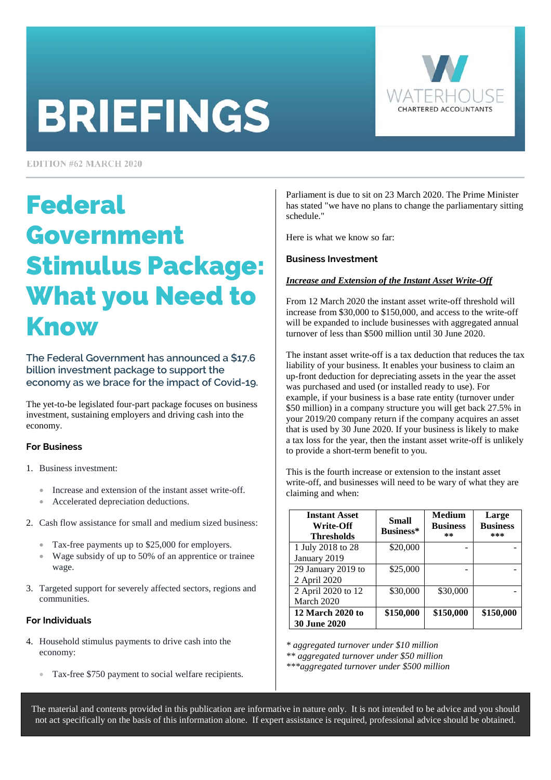# **BRIEFINGS**



**EDITION #62 MARCH 2020** 

### Federal Government Stimulus Package: What you Need to Know

**The Federal Government has announced a \$17.6 billion investment package to support the economy as we brace for the impact of Covid-19.** 

The yet-to-be legislated four-part package focuses on business investment, sustaining employers and driving cash into the economy.

#### **For Business**

- 1. Business investment:
	- Increase and extension of the instant asset write-off.
	- Accelerated depreciation deductions.
- 2. Cash flow assistance for small and medium sized business:
	- Tax-free payments up to \$25,000 for employers.
	- Wage subsidy of up to 50% of an apprentice or trainee wage.
- 3. Targeted support for severely affected sectors, regions and communities.

#### **For Individuals**

- 4. Household stimulus payments to drive cash into the economy:
	- Tax-free \$750 payment to social welfare recipients.

Parliament is due to sit on 23 March 2020. The Prime Minister has stated "we have no plans to change the parliamentary sitting schedule."

Here is what we know so far:

#### **Business Investment**

#### *Increase and Extension of the Instant Asset Write-Off*

From 12 March 2020 the instant asset write-off threshold will increase from \$30,000 to \$150,000, and access to the write-off will be expanded to include businesses with aggregated annual turnover of less than \$500 million until 30 June 2020.

The instant asset write-off is a tax deduction that reduces the tax liability of your business. It enables your business to claim an up-front deduction for depreciating assets in the year the asset was purchased and used (or installed ready to use). For example, if your business is a base rate entity (turnover under \$50 million) in a company structure you will get back 27.5% in your 2019/20 company return if the company acquires an asset that is used by 30 June 2020. If your business is likely to make a tax loss for the year, then the instant asset write-off is unlikely to provide a short-term benefit to you.

This is the fourth increase or extension to the instant asset write-off, and businesses will need to be wary of what they are claiming and when:

| <b>Instant Asset</b><br>Write-Off<br><b>Thresholds</b> | <b>Small</b><br>Business* | <b>Medium</b><br><b>Business</b><br>** | Large<br><b>Business</b><br>*** |
|--------------------------------------------------------|---------------------------|----------------------------------------|---------------------------------|
| 1 July 2018 to 28<br>January 2019                      | \$20,000                  |                                        |                                 |
| 29 January 2019 to<br>2 April 2020                     | \$25,000                  |                                        |                                 |
| 2 April 2020 to 12<br>March 2020                       | \$30,000                  | \$30,000                               |                                 |
| 12 March 2020 to<br><b>30 June 2020</b>                | \$150,000                 | \$150,000                              | \$150,000                       |

*\* aggregated turnover under \$10 million* 

The material and contents provided in this publication are informative in nature only. It is not intended to be advice and you should not act specifically on the basis of this information alone. If expert assistance is required, professional advice should be obtained.

*<sup>\*\*</sup> aggregated turnover under \$50 million* 

*<sup>\*\*\*</sup>aggregated turnover under \$500 million*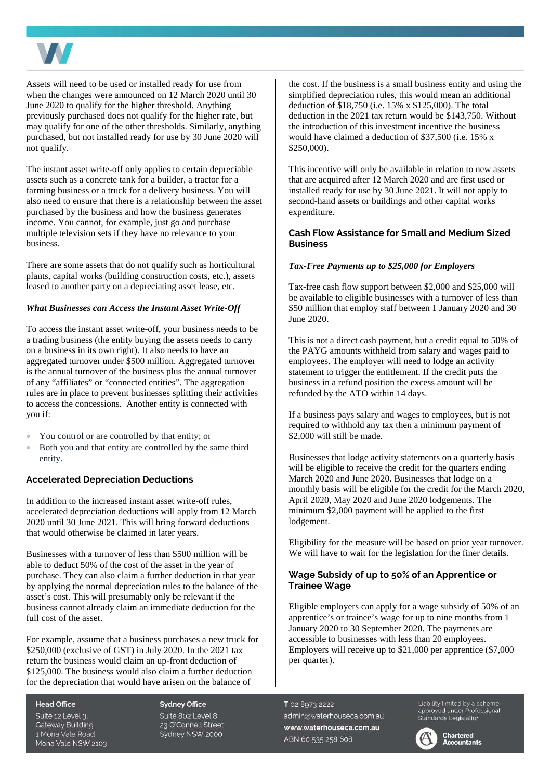

Assets will need to be used or installed ready for use from when the changes were announced on 12 March 2020 until 30 June 2020 to qualify for the higher threshold. Anything previously purchased does not qualify for the higher rate, but may qualify for one of the other thresholds. Similarly, anything purchased, but not installed ready for use by 30 June 2020 will not qualify.

The instant asset write-off only applies to certain depreciable assets such as a concrete tank for a builder, a tractor for a farming business or a truck for a delivery business. You will also need to ensure that there is a relationship between the asset purchased by the business and how the business generates income. You cannot, for example, just go and purchase multiple television sets if they have no relevance to your business.

There are some assets that do not qualify such as horticultural plants, capital works (building construction costs, etc.), assets leased to another party on a depreciating asset lease, etc.

#### *What Businesses can Access the Instant Asset Write-Off*

To access the instant asset write-off, your business needs to be a trading business (the entity buying the assets needs to carry on a business in its own right). It also needs to have an aggregated turnover under \$500 million. Aggregated turnover is the annual turnover of the business plus the annual turnover of any "affiliates" or "connected entities". The aggregation rules are in place to prevent businesses splitting their activities to access the concessions. Another entity is connected with you if:

- You control or are controlled by that entity; or
- Both you and that entity are controlled by the same third entity.

#### **Accelerated Depreciation Deductions**

In addition to the increased instant asset write-off rules, accelerated depreciation deductions will apply from 12 March 2020 until 30 June 2021. This will bring forward deductions that would otherwise be claimed in later years.

Businesses with a turnover of less than \$500 million will be able to deduct 50% of the cost of the asset in the year of purchase. They can also claim a further deduction in that year by applying the normal depreciation rules to the balance of the asset's cost. This will presumably only be relevant if the business cannot already claim an immediate deduction for the full cost of the asset.

For example, assume that a business purchases a new truck for \$250,000 (exclusive of GST) in July 2020. In the 2021 tax return the business would claim an up-front deduction of \$125,000. The business would also claim a further deduction for the depreciation that would have arisen on the balance of

**Head Office** Suite 12 Level 3. **Gateway Building** 1 Mona Vale Road Mona Vale NSW 2103 **Sydney Office** Suite 802 Level 8 23 O'Connell Street Sydney NSW 2000

the cost. If the business is a small business entity and using the simplified depreciation rules, this would mean an additional deduction of \$18,750 (i.e. 15% x \$125,000). The total deduction in the 2021 tax return would be \$143,750. Without the introduction of this investment incentive the business would have claimed a deduction of \$37,500 (i.e. 15% x \$250,000).

This incentive will only be available in relation to new assets that are acquired after 12 March 2020 and are first used or installed ready for use by 30 June 2021. It will not apply to second-hand assets or buildings and other capital works expenditure.

#### **Cash Flow Assistance for Small and Medium Sized Business**

#### *Tax-Free Payments up to \$25,000 for Employers*

Tax-free cash flow support between \$2,000 and \$25,000 will be available to eligible businesses with a turnover of less than \$50 million that employ staff between 1 January 2020 and 30 June 2020.

This is not a direct cash payment, but a credit equal to 50% of the PAYG amounts withheld from salary and wages paid to employees. The employer will need to lodge an activity statement to trigger the entitlement. If the credit puts the business in a refund position the excess amount will be refunded by the ATO within 14 days.

If a business pays salary and wages to employees, but is not required to withhold any tax then a minimum payment of \$2,000 will still be made.

Businesses that lodge activity statements on a quarterly basis will be eligible to receive the credit for the quarters ending March 2020 and June 2020. Businesses that lodge on a monthly basis will be eligible for the credit for the March 2020, April 2020, May 2020 and June 2020 lodgements. The minimum \$2,000 payment will be applied to the first lodgement.

Eligibility for the measure will be based on prior year turnover. We will have to wait for the legislation for the finer details.

#### **Wage Subsidy of up to 50% of an Apprentice or Trainee Wage**

Eligible employers can apply for a wage subsidy of 50% of an apprentice's or trainee's wage for up to nine months from 1 January 2020 to 30 September 2020. The payments are accessible to businesses with less than 20 employees. Employers will receive up to \$21,000 per apprentice (\$7,000 per quarter).

T 02 8973 2222 admin@waterhouseca.com.au www.waterhouseca.com.au ABN 60 535 258 608

Liability limited by a scheme approved under Professional<br>Standards Legislation



Chartered **Accountants**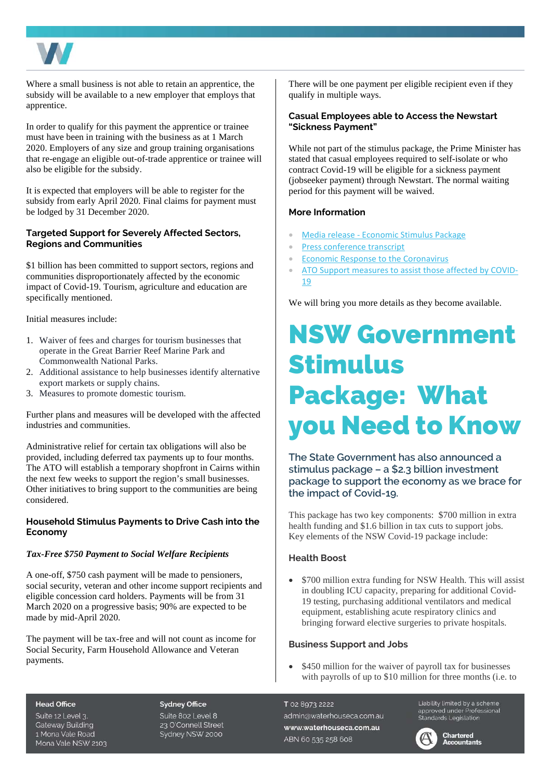

Where a small business is not able to retain an apprentice, the subsidy will be available to a new employer that employs that apprentice.

In order to qualify for this payment the apprentice or trainee must have been in training with the business as at 1 March 2020. Employers of any size and group training organisations that re-engage an eligible out-of-trade apprentice or trainee will also be eligible for the subsidy.

It is expected that employers will be able to register for the subsidy from early April 2020. Final claims for payment must be lodged by 31 December 2020.

#### **Targeted Support for Severely Affected Sectors, Regions and Communities**

\$1 billion has been committed to support sectors, regions and communities disproportionately affected by the economic impact of Covid-19. Tourism, agriculture and education are specifically mentioned.

Initial measures include:

- 1. Waiver of fees and charges for tourism businesses that operate in the Great Barrier Reef Marine Park and Commonwealth National Parks.
- 2. Additional assistance to help businesses identify alternative export markets or supply chains.
- 3. Measures to promote domestic tourism.

Further plans and measures will be developed with the affected industries and communities.

Administrative relief for certain tax obligations will also be provided, including deferred tax payments up to four months. The ATO will establish a temporary shopfront in Cairns within the next few weeks to support the region's small businesses. Other initiatives to bring support to the communities are being considered.

#### **Household Stimulus Payments to Drive Cash into the Economy**

#### *Tax-Free \$750 Payment to Social Welfare Recipients*

A one-off, \$750 cash payment will be made to pensioners, social security, veteran and other income support recipients and eligible concession card holders. Payments will be from 31 March 2020 on a progressive basis; 90% are expected to be made by mid-April 2020.

The payment will be tax-free and will not count as income for Social Security, Farm Household Allowance and Veteran payments.

There will be one payment per eligible recipient even if they qualify in multiple ways.

#### **Casual Employees able to Access the Newstart "Sickness Payment"**

While not part of the stimulus package, the Prime Minister has stated that casual employees required to self-isolate or who contract Covid-19 will be eligible for a sickness payment (jobseeker payment) through Newstart. The normal waiting period for this payment will be waived.

#### **More Information**

- [Media release Economic Stimulus Package](https://ministers.treasury.gov.au/ministers/josh-frydenberg-2018/media-releases/economic-stimulus-package)
- [Press conference transcript](https://www.pm.gov.au/media/press-conference-parliament-house-4)
- [Economic Response to the Coronavirus](https://treasury.gov.au/coronavirus)
- [ATO Support measures to assist those affected by COVID-](https://www.ato.gov.au/Media-centre/Media-releases/Support-measures-to-assist-those-affected-by-COVID-19/)19

We will bring you more details as they become available.

## NSW Government Stimulus Package: What you Need to Know

**The State Government has also announced a stimulus package – a \$2.3 billion investment package to support the economy as we brace for the impact of Covid-19.** 

This package has two key components: \$700 million in extra health funding and \$1.6 billion in tax cuts to support jobs. Key elements of the NSW Covid-19 package include:

#### **Health Boost**

• \$700 million extra funding for NSW Health. This will assist in doubling ICU capacity, preparing for additional Covid-19 testing, purchasing additional ventilators and medical equipment, establishing acute respiratory clinics and bringing forward elective surgeries to private hospitals.

#### **Business Support and Jobs**

• \$450 million for the waiver of payroll tax for businesses with payrolls of up to \$10 million for three months (i.e. to

#### **Head Office**

Suite 12 Level 3. **Gateway Building** 1 Mona Vale Road Mona Vale NSW 2103

**Sydney Office** Suite 802 Level 8 23 O'Connell Street Sydney NSW 2000

#### T 02 8973 2222

admin@waterhouseca.com.au www.waterhouseca.com.au ABN 60 535 258 608